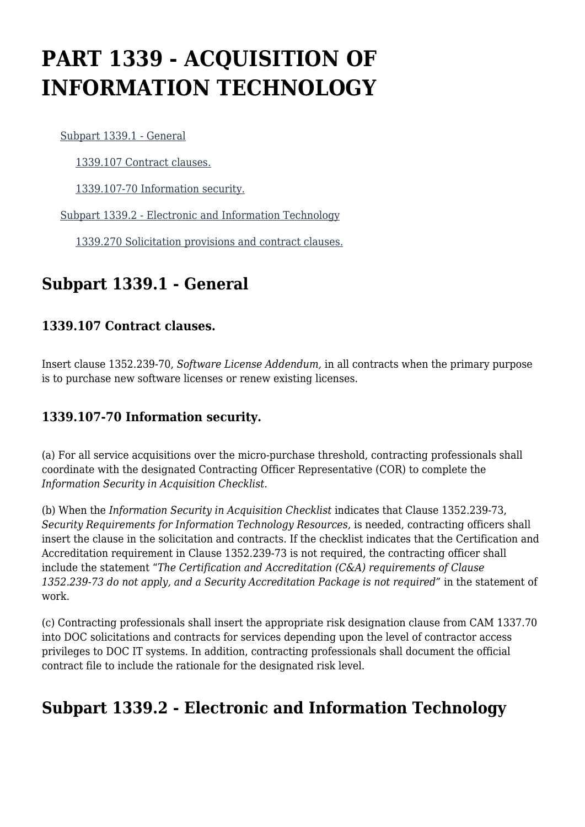# **PART 1339 - ACQUISITION OF INFORMATION TECHNOLOGY**

[Subpart 1339.1 - General](https://login.acquisition.gov/%5Brp:link:car-part-1339%5D#Subpart_1339_1_T48_50648361)

[1339.107 Contract clauses.](https://login.acquisition.gov/%5Brp:link:car-part-1339%5D#Section_1339_107_T48_5064836111)

[1339.107-70 Information security.](https://login.acquisition.gov/%5Brp:link:car-part-1339%5D#Section_1339_107_70_T48_5064836112)

[Subpart 1339.2 - Electronic and Information Technology](https://login.acquisition.gov/%5Brp:link:car-part-1339%5D#Subpart_1339_2_T48_50648362)

[1339.270 Solicitation provisions and contract clauses.](https://login.acquisition.gov/%5Brp:link:car-part-1339%5D#Section_1339_270_T48_5064836211)

## **Subpart 1339.1 - General**

#### **1339.107 Contract clauses.**

Insert clause 1352.239-70, *Software License Addendum,* in all contracts when the primary purpose is to purchase new software licenses or renew existing licenses.

#### **1339.107-70 Information security.**

(a) For all service acquisitions over the micro-purchase threshold, contracting professionals shall coordinate with the designated Contracting Officer Representative (COR) to complete the *Information Security in Acquisition Checklist.*

(b) When the *Information Security in Acquisition Checklist* indicates that Clause 1352.239-73, *Security Requirements for Information Technology Resources,* is needed, contracting officers shall insert the clause in the solicitation and contracts. If the checklist indicates that the Certification and Accreditation requirement in Clause 1352.239-73 is not required, the contracting officer shall include the statement "*The Certification and Accreditation (C&A) requirements of Clause 1352.239-73 do not apply, and a Security Accreditation Package is not required"* in the statement of work.

(c) Contracting professionals shall insert the appropriate risk designation clause from CAM 1337.70 into DOC solicitations and contracts for services depending upon the level of contractor access privileges to DOC IT systems. In addition, contracting professionals shall document the official contract file to include the rationale for the designated risk level.

## **Subpart 1339.2 - Electronic and Information Technology**